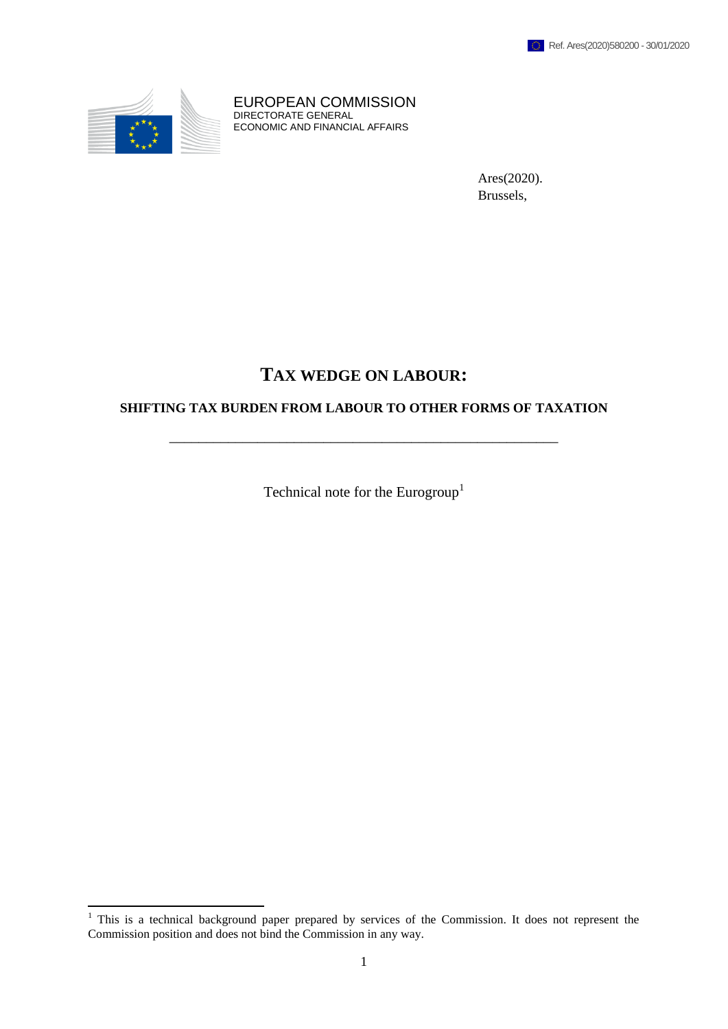

**.** 

EUROPEAN COMMISSION DIRECTORATE GENERAL ECONOMIC AND FINANCIAL AFFAIRS

> Ares(2020). Brussels,

# **TAX WEDGE ON LABOUR:**

## **SHIFTING TAX BURDEN FROM LABOUR TO OTHER FORMS OF TAXATION**

\_\_\_\_\_\_\_\_\_\_\_\_\_\_\_\_\_\_\_\_\_\_\_\_\_\_\_\_\_\_\_\_\_\_\_\_\_\_\_\_\_\_\_\_\_\_\_\_\_\_\_\_\_

Technical note for the Eurogroup<sup>1</sup>

 $1$  This is a technical background paper prepared by services of the Commission. It does not represent the Commission position and does not bind the Commission in any way.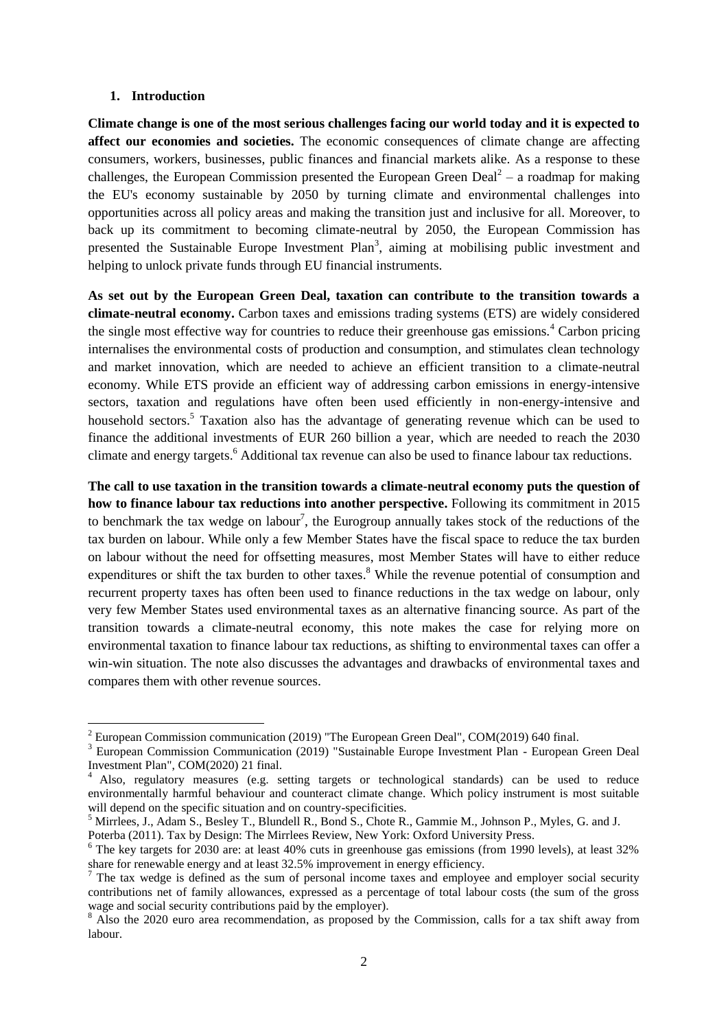#### **1. Introduction**

1

**Climate change is one of the most serious challenges facing our world today and it is expected to affect our economies and societies.** The economic consequences of climate change are affecting consumers, workers, businesses, public finances and financial markets alike. As a response to these challenges, the European Commission presented the European Green Deal<sup>2</sup> – a roadmap for making the EU's economy sustainable by 2050 by turning climate and environmental challenges into opportunities across all policy areas and making the transition just and inclusive for all. Moreover, to back up its commitment to becoming climate-neutral by 2050, the European Commission has presented the Sustainable Europe Investment  $Plan<sup>3</sup>$ , aiming at mobilising public investment and helping to unlock private funds through EU financial instruments.

**As set out by the European Green Deal, taxation can contribute to the transition towards a climate-neutral economy.** Carbon taxes and emissions trading systems (ETS) are widely considered the single most effective way for countries to reduce their greenhouse gas emissions.<sup>4</sup> Carbon pricing internalises the environmental costs of production and consumption, and stimulates clean technology and market innovation, which are needed to achieve an efficient transition to a climate-neutral economy. While ETS provide an efficient way of addressing carbon emissions in energy-intensive sectors, taxation and regulations have often been used efficiently in non-energy-intensive and household sectors.<sup>5</sup> Taxation also has the advantage of generating revenue which can be used to finance the additional investments of EUR 260 billion a year, which are needed to reach the 2030 climate and energy targets. <sup>6</sup> Additional tax revenue can also be used to finance labour tax reductions.

**The call to use taxation in the transition towards a climate-neutral economy puts the question of how to finance labour tax reductions into another perspective.** Following its commitment in 2015 to benchmark the tax wedge on labour<sup>7</sup>, the Eurogroup annually takes stock of the reductions of the tax burden on labour. While only a few Member States have the fiscal space to reduce the tax burden on labour without the need for offsetting measures, most Member States will have to either reduce expenditures or shift the tax burden to other taxes.<sup>8</sup> While the revenue potential of consumption and recurrent property taxes has often been used to finance reductions in the tax wedge on labour, only very few Member States used environmental taxes as an alternative financing source. As part of the transition towards a climate-neutral economy, this note makes the case for relying more on environmental taxation to finance labour tax reductions, as shifting to environmental taxes can offer a win-win situation. The note also discusses the advantages and drawbacks of environmental taxes and compares them with other revenue sources.

 $2^2$  European Commission communication (2019) "The European Green Deal", COM(2019) 640 final.

<sup>&</sup>lt;sup>3</sup> European Commission Communication (2019) "Sustainable Europe Investment Plan - European Green Deal Investment Plan", COM(2020) 21 final.

<sup>&</sup>lt;sup>4</sup> Also, regulatory measures (e.g. setting targets or technological standards) can be used to reduce environmentally harmful behaviour and counteract climate change. Which policy instrument is most suitable will depend on the specific situation and on country-specificities.

<sup>5</sup> Mirrlees, J., Adam S., Besley T., Blundell R., Bond S., Chote R., Gammie M., Johnson P., Myles, G. and J.

Poterba (2011). Tax by Design: The Mirrlees Review, New York: Oxford University Press.

<sup>6</sup> The key targets for 2030 are: at least 40% cuts in greenhouse gas emissions (from 1990 levels), at least 32% share for renewable energy and at least 32.5% improvement in energy efficiency.

 $7$  The tax wedge is defined as the sum of personal income taxes and employee and employer social security contributions net of family allowances, expressed as a percentage of total labour costs (the sum of the gross wage and social security contributions paid by the employer).

<sup>&</sup>lt;sup>8</sup> Also the 2020 euro area recommendation, as proposed by the Commission, calls for a tax shift away from labour.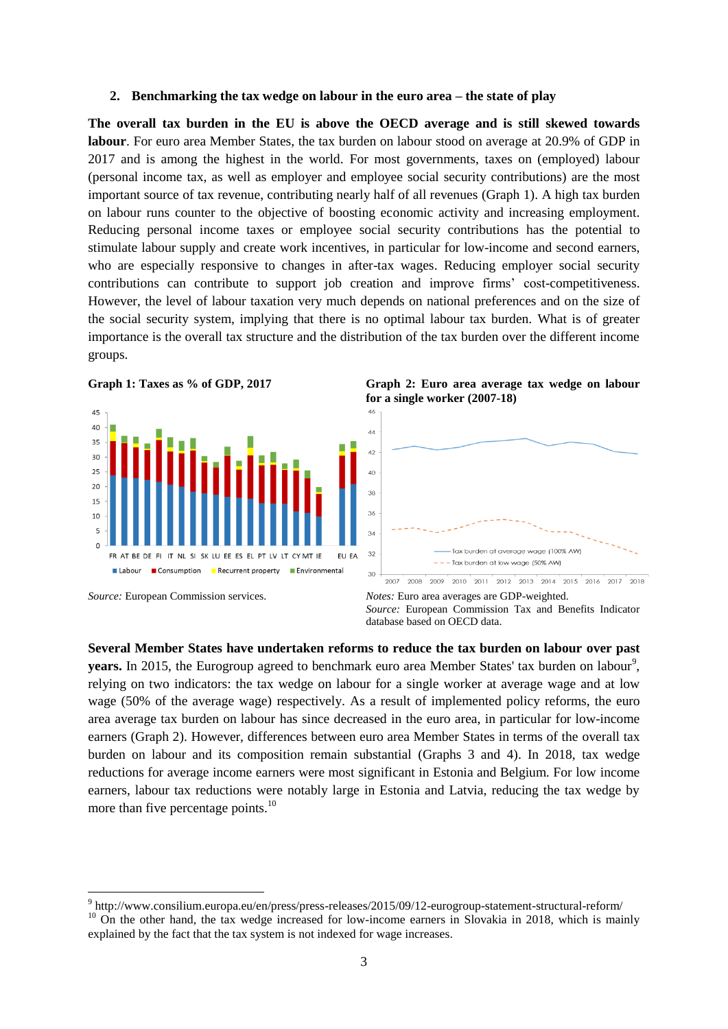#### **2. Benchmarking the tax wedge on labour in the euro area – the state of play**

**The overall tax burden in the EU is above the OECD average and is still skewed towards labour**. For euro area Member States, the tax burden on labour stood on average at 20.9% of GDP in 2017 and is among the highest in the world. For most governments, taxes on (employed) labour (personal income tax, as well as employer and employee social security contributions) are the most important source of tax revenue, contributing nearly half of all revenues (Graph 1). A high tax burden on labour runs counter to the objective of boosting economic activity and increasing employment. Reducing personal income taxes or employee social security contributions has the potential to stimulate labour supply and create work incentives, in particular for low-income and second earners, who are especially responsive to changes in after-tax wages. Reducing employer social security contributions can contribute to support job creation and improve firms' cost-competitiveness. However, the level of labour taxation very much depends on national preferences and on the size of the social security system, implying that there is no optimal labour tax burden. What is of greater importance is the overall tax structure and the distribution of the tax burden over the different income groups.





**Graph 1: Taxes as % of GDP, 2017 Graph 2: Euro area average tax wedge on labour for a single worker (2007-18)**



*Source:* European Commission services. *Notes:* Euro area averages are GDP-weighted. *Source:* European Commission Tax and Benefits Indicator database based on OECD data.

**Several Member States have undertaken reforms to reduce the tax burden on labour over past**  years. In 2015, the Eurogroup agreed to benchmark euro area Member States' tax burden on labour<sup>9</sup>, relying on two indicators: the tax wedge on labour for a single worker at average wage and at low wage (50% of the average wage) respectively. As a result of implemented policy reforms, the euro area average tax burden on labour has since decreased in the euro area, in particular for low-income earners (Graph 2). However, differences between euro area Member States in terms of the overall tax burden on labour and its composition remain substantial (Graphs 3 and 4). In 2018, tax wedge reductions for average income earners were most significant in Estonia and Belgium. For low income earners, labour tax reductions were notably large in Estonia and Latvia, reducing the tax wedge by more than five percentage points.<sup>10</sup>

 9 http://www.consilium.europa.eu/en/press/press-releases/2015/09/12-eurogroup-statement-structural-reform/  $10$  On the other hand, the tax wedge increased for low-income earners in Slovakia in 2018, which is mainly explained by the fact that the tax system is not indexed for wage increases.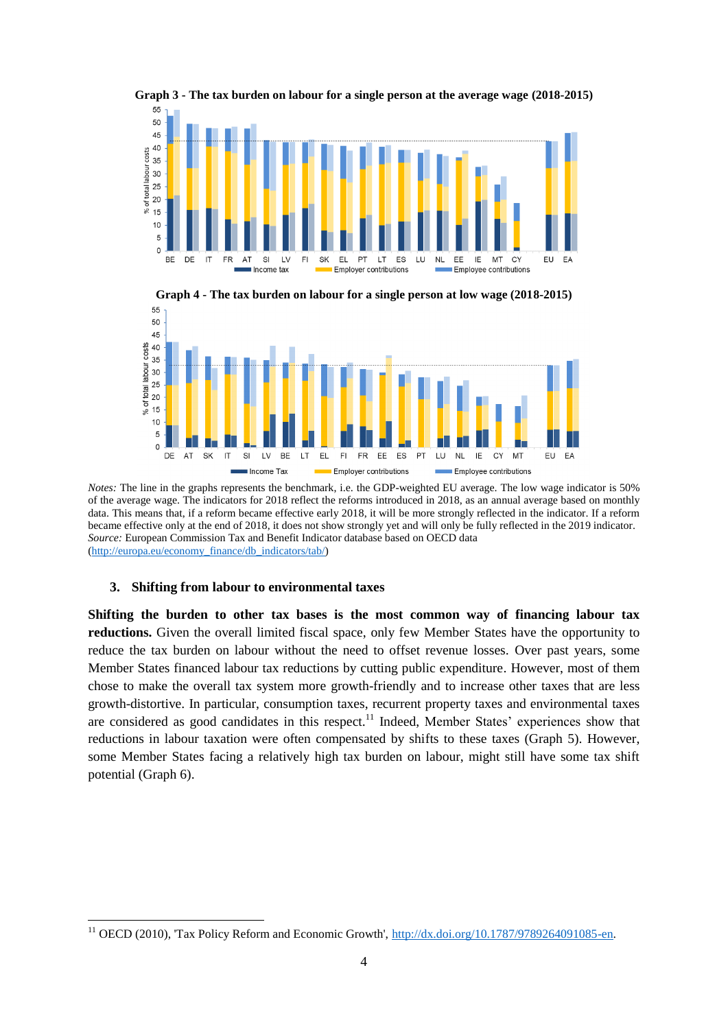

**Graph 3 - The tax burden on labour for a single person at the average wage (2018-2015)**



**Graph 4 - The tax burden on labour for a single person at low wage (2018-2015)**

*Notes:* The line in the graphs represents the benchmark, i.e. the GDP-weighted EU average. The low wage indicator is 50% of the average wage. The indicators for 2018 reflect the reforms introduced in 2018, as an annual average based on monthly data. This means that, if a reform became effective early 2018, it will be more strongly reflected in the indicator. If a reform became effective only at the end of 2018, it does not show strongly yet and will only be fully reflected in the 2019 indicator. *Source:* European Commission Tax and Benefit Indicator database based on OECD data [\(http://europa.eu/economy\\_finance/db\\_indicators/tab/\)](http://europa.eu/economy_finance/db_indicators/tab/)

#### **3. Shifting from labour to environmental taxes**

**.** 

**Shifting the burden to other tax bases is the most common way of financing labour tax reductions.** Given the overall limited fiscal space, only few Member States have the opportunity to reduce the tax burden on labour without the need to offset revenue losses. Over past years, some Member States financed labour tax reductions by cutting public expenditure. However, most of them chose to make the overall tax system more growth-friendly and to increase other taxes that are less growth-distortive. In particular, consumption taxes, recurrent property taxes and environmental taxes are considered as good candidates in this respect.<sup>11</sup> Indeed, Member States' experiences show that reductions in labour taxation were often compensated by shifts to these taxes (Graph 5). However, some Member States facing a relatively high tax burden on labour, might still have some tax shift potential (Graph 6).

<sup>&</sup>lt;sup>11</sup> OECD (2010), 'Tax Policy Reform and Economic Growth', [http://dx.doi.org/10.1787/9789264091085-en.](http://dx.doi.org/10.1787/9789264091085-en)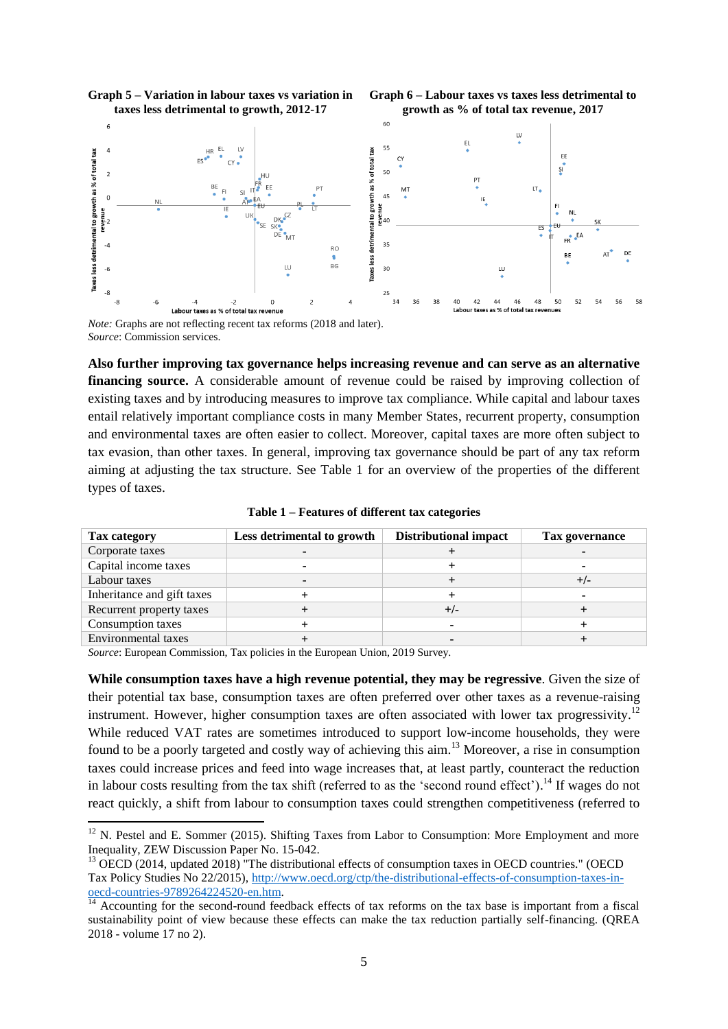

**Graph 5 – Variation in labour taxes vs variation in** 

**Graph 6 – Labour taxes vs taxes less detrimental to** 

*Note:* Graphs are not reflecting recent tax reforms (2018 and later). *Source*: Commission services.

**Also further improving tax governance helps increasing revenue and can serve as an alternative financing source.** A considerable amount of revenue could be raised by improving collection of existing taxes and by introducing measures to improve tax compliance. While capital and labour taxes entail relatively important compliance costs in many Member States, recurrent property, consumption and environmental taxes are often easier to collect. Moreover, capital taxes are more often subject to tax evasion, than other taxes. In general, improving tax governance should be part of any tax reform aiming at adjusting the tax structure. See Table 1 for an overview of the properties of the different types of taxes.

| Tax category               | Less detrimental to growth | <b>Distributional impact</b> | Tax governance |
|----------------------------|----------------------------|------------------------------|----------------|
| Corporate taxes            |                            |                              |                |
| Capital income taxes       |                            |                              |                |
| Labour taxes               |                            |                              | $+/-$          |
| Inheritance and gift taxes |                            |                              |                |
| Recurrent property taxes   |                            | +/-                          |                |
| Consumption taxes          |                            |                              |                |
| Environmental taxes        |                            |                              |                |
|                            |                            |                              |                |

**Table 1 – Features of different tax categories**

*Source*: European Commission, Tax policies in the European Union, 2019 Survey.

**While consumption taxes have a high revenue potential, they may be regressive**. Given the size of their potential tax base, consumption taxes are often preferred over other taxes as a revenue-raising instrument. However, higher consumption taxes are often associated with lower tax progressivity.<sup>12</sup> While reduced VAT rates are sometimes introduced to support low-income households, they were found to be a poorly targeted and costly way of achieving this aim.<sup>13</sup> Moreover, a rise in consumption taxes could increase prices and feed into wage increases that, at least partly, counteract the reduction in labour costs resulting from the tax shift (referred to as the 'second round effect').<sup>14</sup> If wages do not react quickly, a shift from labour to consumption taxes could strengthen competitiveness (referred to

**<sup>.</sup>**  $12$  N. Pestel and E. Sommer (2015). Shifting Taxes from Labor to Consumption: More Employment and more Inequality, ZEW Discussion Paper No. 15-042.

<sup>&</sup>lt;sup>13</sup> OECD (2014, updated 2018) "The distributional effects of consumption taxes in OECD countries." (OECD Tax Policy Studies No 22/2015), [http://www.oecd.org/ctp/the-distributional-effects-of-consumption-taxes-in](http://www.oecd.org/ctp/the-distributional-effects-of-consumption-taxes-in-oecd-countries-9789264224520-en.htm)[oecd-countries-9789264224520-en.htm.](http://www.oecd.org/ctp/the-distributional-effects-of-consumption-taxes-in-oecd-countries-9789264224520-en.htm)

Accounting for the second-round feedback effects of tax reforms on the tax base is important from a fiscal sustainability point of view because these effects can make the tax reduction partially self-financing. (QREA 2018 - volume 17 no 2).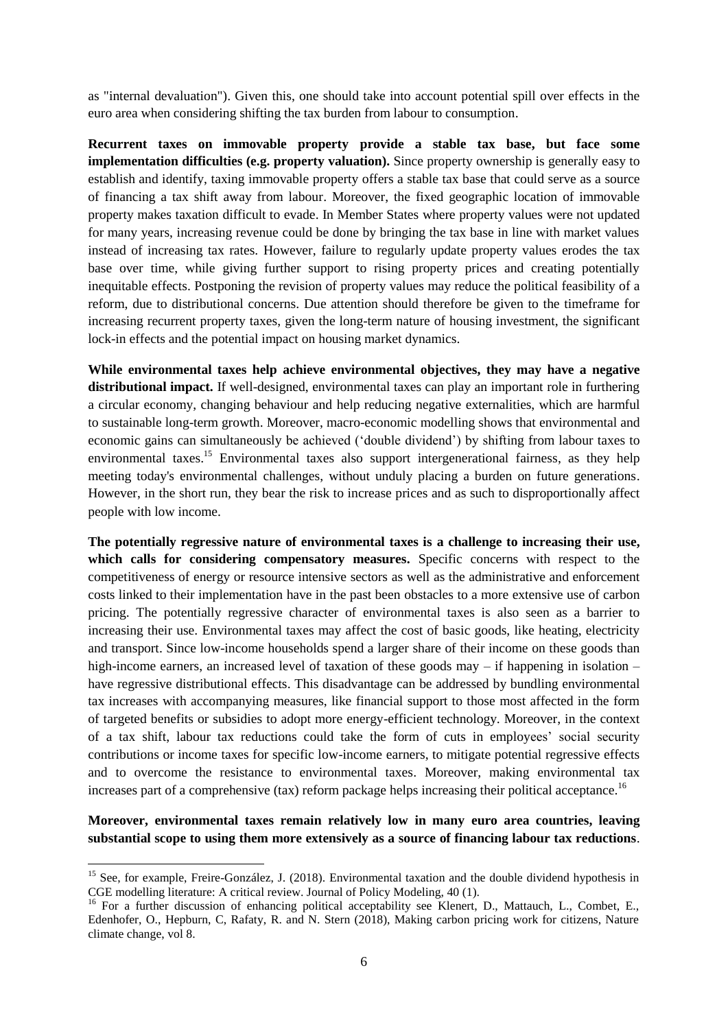as "internal devaluation"). Given this, one should take into account potential spill over effects in the euro area when considering shifting the tax burden from labour to consumption.

**Recurrent taxes on immovable property provide a stable tax base, but face some implementation difficulties (e.g. property valuation).** Since property ownership is generally easy to establish and identify, taxing immovable property offers a stable tax base that could serve as a source of financing a tax shift away from labour. Moreover, the fixed geographic location of immovable property makes taxation difficult to evade. In Member States where property values were not updated for many years, increasing revenue could be done by bringing the tax base in line with market values instead of increasing tax rates. However, failure to regularly update property values erodes the tax base over time, while giving further support to rising property prices and creating potentially inequitable effects. Postponing the revision of property values may reduce the political feasibility of a reform, due to distributional concerns. Due attention should therefore be given to the timeframe for increasing recurrent property taxes, given the long-term nature of housing investment, the significant lock-in effects and the potential impact on housing market dynamics.

**While environmental taxes help achieve environmental objectives, they may have a negative distributional impact.** If well-designed, environmental taxes can play an important role in furthering a circular economy, changing behaviour and help reducing negative externalities, which are harmful to sustainable long-term growth. Moreover, macro-economic modelling shows that environmental and economic gains can simultaneously be achieved ('double dividend') by shifting from labour taxes to environmental taxes.<sup>15</sup> Environmental taxes also support intergenerational fairness, as they help meeting today's environmental challenges, without unduly placing a burden on future generations. However, in the short run, they bear the risk to increase prices and as such to disproportionally affect people with low income.

**The potentially regressive nature of environmental taxes is a challenge to increasing their use, which calls for considering compensatory measures.** Specific concerns with respect to the competitiveness of energy or resource intensive sectors as well as the administrative and enforcement costs linked to their implementation have in the past been obstacles to a more extensive use of carbon pricing. The potentially regressive character of environmental taxes is also seen as a barrier to increasing their use. Environmental taxes may affect the cost of basic goods, like heating, electricity and transport. Since low-income households spend a larger share of their income on these goods than high-income earners, an increased level of taxation of these goods may – if happening in isolation – have regressive distributional effects. This disadvantage can be addressed by bundling environmental tax increases with accompanying measures, like financial support to those most affected in the form of targeted benefits or subsidies to adopt more energy-efficient technology. Moreover, in the context of a tax shift, labour tax reductions could take the form of cuts in employees' social security contributions or income taxes for specific low-income earners, to mitigate potential regressive effects and to overcome the resistance to environmental taxes. Moreover, making environmental tax increases part of a comprehensive (tax) reform package helps increasing their political acceptance.<sup>16</sup>

**Moreover, environmental taxes remain relatively low in many euro area countries, leaving substantial scope to using them more extensively as a source of financing labour tax reductions**.

**.** 

<sup>&</sup>lt;sup>15</sup> See, for example, Freire-González, J. (2018). Environmental taxation and the double dividend hypothesis in CGE modelling literature: A critical review. Journal of Policy Modeling, 40 (1).

<sup>&</sup>lt;sup>16</sup> For a further discussion of enhancing political acceptability see Klenert, D., Mattauch, L., Combet, E., Edenhofer, O., Hepburn, C, Rafaty, R. and N. Stern (2018), Making carbon pricing work for citizens, Nature climate change, vol 8.